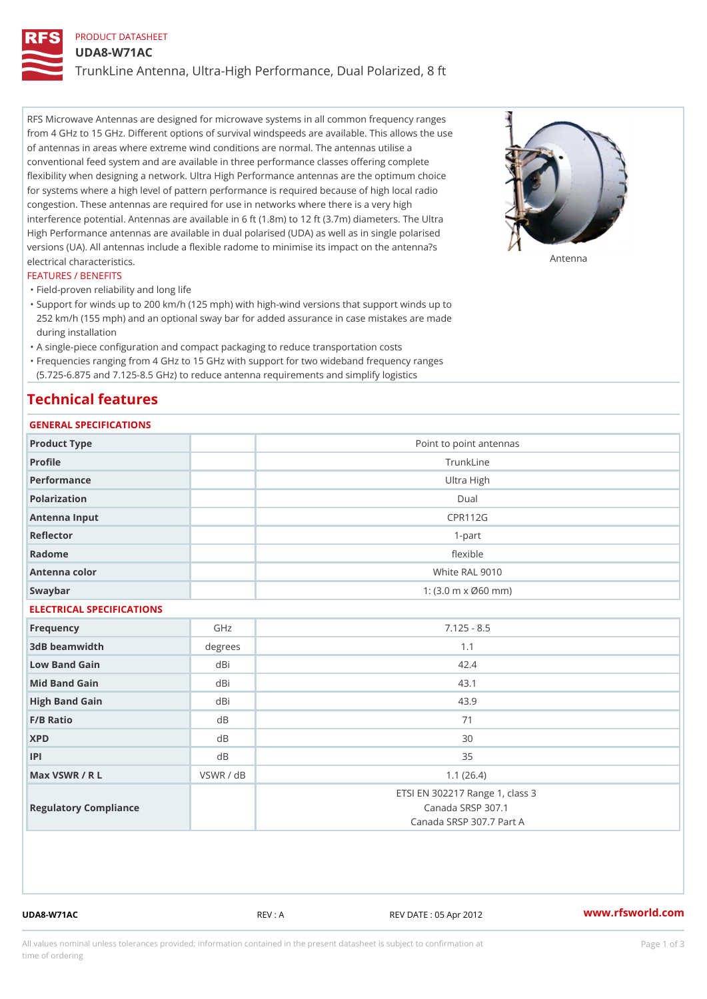# PRODUCT DATASHEET UDA8-W71AC TrunkLine Antenna, Ultra-High Performance, Dual Polarized, 8 ft

RFS Microwave Antennas are designed for microwave systems in all common frequency ranges from 4 GHz to 15 GHz. Different options of survival windspeeds are available. This allows the use of antennas in areas where extreme wind conditions are normal. The antennas utilise a conventional feed system and are available in three performance classes offering complete flexibility when designing a network. Ultra High Performance antennas are the optimum choice for systems where a high level of pattern performance is required because of high local radio congestion. These antennas are required for use in networks where there is a very high interference potential. Antennas are available in 6 ft (1.8m) to 12 ft (3.7m) diameters. The Ultra High Performance antennas are available in dual polarised (UDA) as well as in single polarised versions (UA). All antennas include a flexible radome to minimise its impact on the antenna?s electrical characteristics. Antenna

#### FEATURES / BENEFITS

"Field-proven reliability and long life

- Support for winds up to 200 km/h (125 mph) with high-wind versions that support winds up to " 252 km/h (155 mph) and an optional sway bar for added assurance in case mistakes are made during installation
- "A single-piece configuration and compact packaging to reduce transportation costs
- Frequencies ranging from 4 GHz to 15 GHz with support for two wideband frequency ranges "
- (5.725-6.875 and 7.125-8.5 GHz) to reduce antenna requirements and simplify logistics

## Technical features

## GENERAL SPECIFICATIONS

| GENERAL SPECIFICATIONS    |                                                         |                                                                                  |  |  |
|---------------------------|---------------------------------------------------------|----------------------------------------------------------------------------------|--|--|
| Product Type              |                                                         | Point to point antennas                                                          |  |  |
| Profile                   | TrunkLine                                               |                                                                                  |  |  |
| Performance               | Ultra High                                              |                                                                                  |  |  |
| Polarization              |                                                         | $D$ ual                                                                          |  |  |
| Antenna Input             | <b>CPR112G</b>                                          |                                                                                  |  |  |
| Reflector                 | $1 - p$ art                                             |                                                                                  |  |  |
| Radome                    | flexible                                                |                                                                                  |  |  |
| Antenna color             | White RAL 9010                                          |                                                                                  |  |  |
| Swaybar                   | 1: $(3.0 \, \text{m} \times \emptyset 60 \, \text{mm})$ |                                                                                  |  |  |
| ELECTRICAL SPECIFICATIONS |                                                         |                                                                                  |  |  |
| Frequency                 | GHz                                                     | $7.125 - 8.5$                                                                    |  |  |
| 3dB beamwidth             | degree:                                                 | 1.1                                                                              |  |  |
| Low Band Gain             | dBi                                                     | 42.4                                                                             |  |  |
| Mid Band Gain             | dBi                                                     | 43.1                                                                             |  |  |
| High Band Gain            | dBi                                                     | 43.9                                                                             |  |  |
| $F/B$ Ratio               | d <sub>B</sub>                                          | 71                                                                               |  |  |
| <b>XPD</b>                | d B                                                     | 30                                                                               |  |  |
| P                         | d B                                                     | 35                                                                               |  |  |
| Max VSWR / R L            | VSWR / dB                                               | 1.1(26.4)                                                                        |  |  |
| Regulatory Compliance     |                                                         | ETSI EN 302217 Range 1, class 3<br>Canada SRSP 307.1<br>Canada SRSP 307.7 Part A |  |  |

UDA8-W71AC REV : A REV DATE : 05 Apr 2012 [www.](https://www.rfsworld.com)rfsworld.com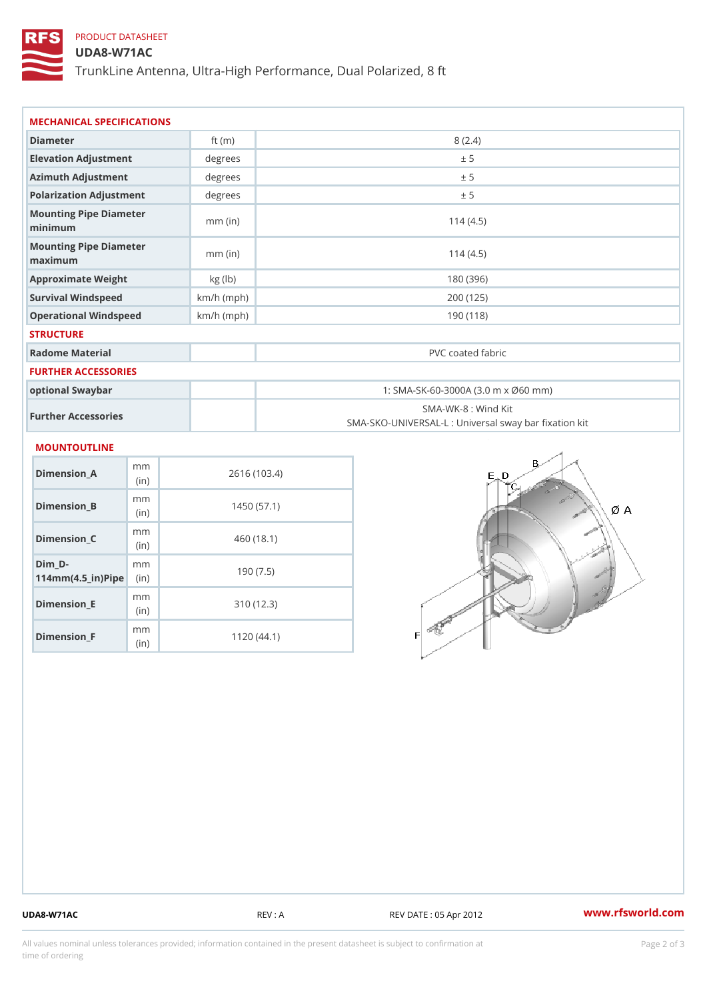## PRODUCT DATASHEET

### UDA8-W71AC

TrunkLine Antenna, Ultra-High Performance, Dual Polarized, 8 ft

| MECHANICAL SPECIFICATIONS                       |              |                                                                          |  |
|-------------------------------------------------|--------------|--------------------------------------------------------------------------|--|
| Diameter                                        | ft $(m)$     | 8(2.4)                                                                   |  |
| Elevation Adjustment                            | degrees      | ± 5                                                                      |  |
| Azimuth Adjustment                              | degrees      | ± 5                                                                      |  |
| Polarization Adjustment                         | degrees      | ± 5                                                                      |  |
| Mounting Pipe Diameter<br>minimum               | $mm$ (in)    | 114(4.5)                                                                 |  |
| Mounting Pipe Diameter<br>maximum               | $mm$ (in)    | 114(4.5)                                                                 |  |
| Approximate Weight                              | kg (lb)      | 180 (396)                                                                |  |
| Survival Windspeed                              | $km/h$ (mph) | 200 (125)                                                                |  |
| Operational Windspeed                           | $km/h$ (mph) | 190(118)                                                                 |  |
| <b>STRUCTURE</b>                                |              |                                                                          |  |
| Radome Material                                 |              | PVC coated fabric                                                        |  |
| <b>FURTHER ACCESSORIES</b>                      |              |                                                                          |  |
| optional Swaybar                                |              | 1: SMA-SK-60-3000A (3.0 m x Ø60 mm)                                      |  |
| Further Accessories                             |              | SMA-WK-8 : Wind Kit<br>SMA-SKO-UNIVERSAL-L : Universal sway bar fixation |  |
| MOUNTOUTLINE                                    |              |                                                                          |  |
| m m<br>Dimension_A<br>(in)                      |              | 2616 (103.4)                                                             |  |
| m m<br>$Dimension_B$<br>(in)                    |              | 1450(57.1)                                                               |  |
| m m<br>$Dimension_C$<br>(in)                    |              | 460 (18.1)                                                               |  |
| $Dim_D - D -$<br>m m<br>$114mm(4.5_{ir})$ $Rip$ |              | 190(7.5)                                                                 |  |
| m m<br><b>Britain and Contract Contract</b>     |              | 0.401400                                                                 |  |

Dimension\_E

Dimension\_F

(in)

m<sub>m</sub> (in)

310 (12.3)

1120 (44.1)

UDA8-W71AC REV : A REV DATE : 05 Apr 2012 [www.](https://www.rfsworld.com)rfsworld.com